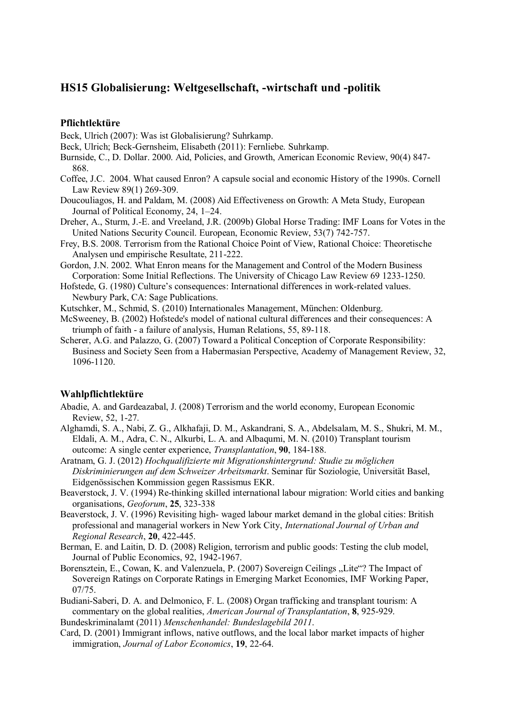## **HS15 Globalisierung: Weltgesellschaft, -wirtschaft und -politik**

## **Pflichtlektüre**

Beck, Ulrich (2007): Was ist Globalisierung? Suhrkamp.

- Beck, Ulrich; Beck-Gernsheim, Elisabeth (2011): Fernliebe. Suhrkamp.
- Burnside, C., D. Dollar. 2000. Aid, Policies, and Growth, American Economic Review, 90(4) 847- 868.
- Coffee, J.C. 2004. What caused Enron? A capsule social and economic History of the 1990s. Cornell Law Review 89(1) 269-309.
- Doucouliagos, H. and Paldam, M. (2008) Aid Effectiveness on Growth: A Meta Study, European Journal of Political Economy, 24, 1–24.
- Dreher, A., Sturm, J.-E. and Vreeland, J.R. (2009b) Global Horse Trading: IMF Loans for Votes in the United Nations Security Council. European, Economic Review, 53(7) 742-757.
- Frey, B.S. 2008. Terrorism from the Rational Choice Point of View, Rational Choice: Theoretische Analysen und empirische Resultate, 211-222.
- Gordon, J.N. 2002. What Enron means for the Management and Control of the Modern Business Corporation: Some Initial Reflections. The University of Chicago Law Review 69 1233-1250.
- Hofstede, G. (1980) Culture's consequences: International differences in work-related values. Newbury Park, CA: Sage Publications.
- Kutschker, M., Schmid, S. (2010) Internationales Management, München: Oldenburg.
- McSweeney, B. (2002) Hofstede's model of national cultural differences and their consequences: A triumph of faith - a failure of analysis, Human Relations, 55, 89-118.
- Scherer, A.G. and Palazzo, G. (2007) Toward a Political Conception of Corporate Responsibility: Business and Society Seen from a Habermasian Perspective, Academy of Management Review, 32, 1096-1120.

## **Wahlpflichtlektüre**

- Abadie, A. and Gardeazabal, J. (2008) Terrorism and the world economy, European Economic Review, 52, 1-27.
- Alghamdi, S. A., Nabi, Z. G., Alkhafaji, D. M., Askandrani, S. A., Abdelsalam, M. S., Shukri, M. M., Eldali, A. M., Adra, C. N., Alkurbi, L. A. and Albaqumi, M. N. (2010) Transplant tourism outcome: A single center experience, *Transplantation*, **90**, 184-188.
- Aratnam, G. J. (2012) *Hochqualifizierte mit Migrationshintergrund: Studie zu möglichen Diskriminierungen auf dem Schweizer Arbeitsmarkt*. Seminar für Soziologie, Universität Basel, Eidgenössischen Kommission gegen Rassismus EKR.
- Beaverstock, J. V. (1994) Re-thinking skilled international labour migration: World cities and banking organisations, *Geoforum*, **25**, 323-338
- Beaverstock, J. V. (1996) Revisiting high- waged labour market demand in the global cities: British professional and managerial workers in New York City, *International Journal of Urban and Regional Research*, **20**, 422-445.
- Berman, E. and Laitin, D. D. (2008) Religion, terrorism and public goods: Testing the club model, Journal of Public Economics, 92, 1942-1967.
- Borensztein, E., Cowan, K. and Valenzuela, P. (2007) Sovereign Ceilings "Lite"? The Impact of Sovereign Ratings on Corporate Ratings in Emerging Market Economies, IMF Working Paper, 07/75.
- Budiani-Saberi, D. A. and Delmonico, F. L. (2008) Organ trafficking and transplant tourism: A commentary on the global realities, *American Journal of Transplantation*, **8**, 925-929.
- Bundeskriminalamt (2011) *Menschenhandel: Bundeslagebild 2011*.
- Card, D. (2001) Immigrant inflows, native outflows, and the local labor market impacts of higher immigration, *Journal of Labor Economics*, **19**, 22-64.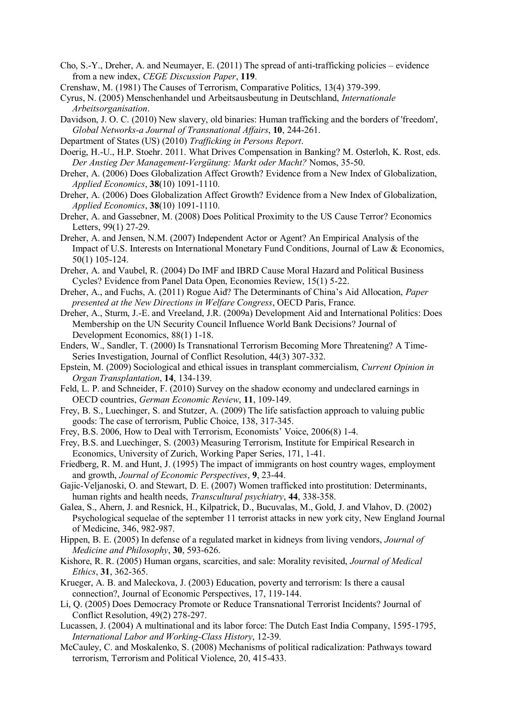- Cho, S.-Y., Dreher, A. and Neumayer, E. (2011) The spread of anti-trafficking policies evidence from a new index, *CEGE Discussion Paper*, **119**.
- Crenshaw, M. (1981) The Causes of Terrorism, Comparative Politics, 13(4) 379-399.
- Cyrus, N. (2005) Menschenhandel und Arbeitsausbeutung in Deutschland, *Internationale Arbeitsorganisation*.
- Davidson, J. O. C. (2010) New slavery, old binaries: Human trafficking and the borders of 'freedom', *Global Networks-a Journal of Transnational Affairs*, **10**, 244-261.
- Department of States (US) (2010) *Trafficking in Persons Report*.
- Doerig, H.-U., H.P. Stoehr. 2011. What Drives Compensation in Banking? M. Osterloh, K. Rost, eds. *Der Anstieg Der Management-Vergütung: Markt oder Macht?* Nomos, 35-50.
- Dreher, A. (2006) Does Globalization Affect Growth? Evidence from a New Index of Globalization, *Applied Economics*, **38**(10) 1091-1110.
- Dreher, A. (2006) Does Globalization Affect Growth? Evidence from a New Index of Globalization, *Applied Economics*, **38**(10) 1091-1110.
- Dreher, A. and Gassebner, M. (2008) Does Political Proximity to the US Cause Terror? Economics Letters, 99(1) 27-29.
- Dreher, A. and Jensen, N.M. (2007) Independent Actor or Agent? An Empirical Analysis of the Impact of U.S. Interests on International Monetary Fund Conditions, Journal of Law & Economics, 50(1) 105-124.
- Dreher, A. and Vaubel, R. (2004) Do IMF and IBRD Cause Moral Hazard and Political Business Cycles? Evidence from Panel Data Open, Economies Review, 15(1) 5-22.
- Dreher, A., and Fuchs, A. (2011) Rogue Aid? The Determinants of China's Aid Allocation, *Paper presented at the New Directions in Welfare Congress*, OECD Paris, France.
- Dreher, A., Sturm, J.-E. and Vreeland, J.R. (2009a) Development Aid and International Politics: Does Membership on the UN Security Council Influence World Bank Decisions? Journal of Development Economics, 88(1) 1-18.
- Enders, W., Sandler, T. (2000) Is Transnational Terrorism Becoming More Threatening? A Time-Series Investigation, Journal of Conflict Resolution, 44(3) 307-332.
- Epstein, M. (2009) Sociological and ethical issues in transplant commercialism, *Current Opinion in Organ Transplantation*, **14**, 134-139.
- Feld, L. P. and Schneider, F. (2010) Survey on the shadow economy and undeclared earnings in OECD countries, *German Economic Review*, **11**, 109-149.
- Frey, B. S., Luechinger, S. and Stutzer, A. (2009) The life satisfaction approach to valuing public goods: The case of terrorism, Public Choice, 138, 317-345.
- Frey, B.S. 2006, How to Deal with Terrorism, Economists' Voice, 2006(8) 1-4.
- Frey, B.S. and Luechinger, S. (2003) Measuring Terrorism, Institute for Empirical Research in Economics, University of Zurich, Working Paper Series, 171, 1-41.
- Friedberg, R. M. and Hunt, J. (1995) The impact of immigrants on host country wages, employment and growth, *Journal of Economic Perspectives*, **9**, 23-44.
- Gajic-Veljanoski, O. and Stewart, D. E. (2007) Women trafficked into prostitution: Determinants, human rights and health needs, *Transcultural psychiatry*, **44**, 338-358.
- Galea, S., Ahern, J. and Resnick, H., Kilpatrick, D., Bucuvalas, M., Gold, J. and Vlahov, D. (2002) Psychological sequelae of the september 11 terrorist attacks in new york city, New England Journal of Medicine, 346, 982-987.
- Hippen, B. E. (2005) In defense of a regulated market in kidneys from living vendors, *Journal of Medicine and Philosophy*, **30**, 593-626.
- Kishore, R. R. (2005) Human organs, scarcities, and sale: Morality revisited, *Journal of Medical Ethics*, **31**, 362-365.
- Krueger, A. B. and Maleckova, J. (2003) Education, poverty and terrorism: Is there a causal connection?, Journal of Economic Perspectives, 17, 119-144.
- Li, Q. (2005) Does Democracy Promote or Reduce Transnational Terrorist Incidents? Journal of Conflict Resolution, 49(2) 278-297.
- Lucassen, J. (2004) A multinational and its labor force: The Dutch East India Company, 1595-1795, *International Labor and Working-Class History*, 12-39.
- McCauley, C. and Moskalenko, S. (2008) Mechanisms of political radicalization: Pathways toward terrorism, Terrorism and Political Violence, 20, 415-433.